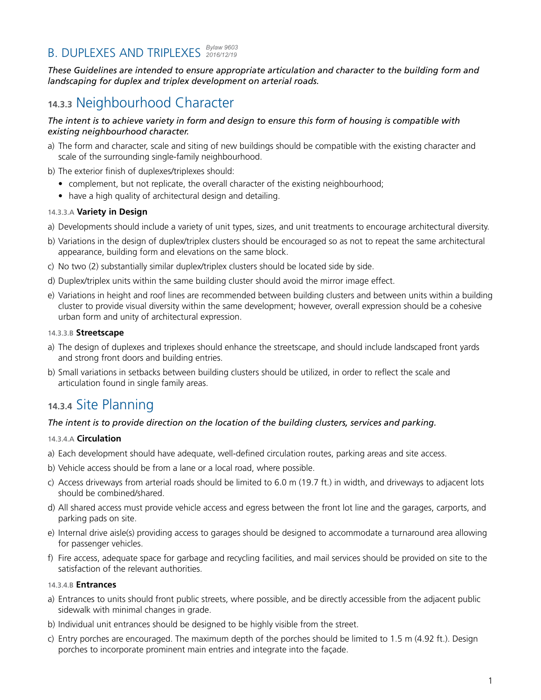#### B. DUPLEXES AND TRIPLEXES *Bylaw 9603 2016/12/19*

*These Guidelines are intended to ensure appropriate articulation and character to the building form and landscaping for duplex and triplex development on arterial roads.*

# **14.3.3** Neighbourhood Character

### *The intent is to achieve variety in form and design to ensure this form of housing is compatible with existing neighbourhood character.*

- a) The form and character, scale and siting of new buildings should be compatible with the existing character and scale of the surrounding single-family neighbourhood.
- b) The exterior finish of duplexes/triplexes should:
	- complement, but not replicate, the overall character of the existing neighbourhood;
	- have a high quality of architectural design and detailing.

### 14.3.3.A **Variety in Design**

- a) Developments should include a variety of unit types, sizes, and unit treatments to encourage architectural diversity.
- b) Variations in the design of duplex/triplex clusters should be encouraged so as not to repeat the same architectural appearance, building form and elevations on the same block.
- c) No two (2) substantially similar duplex/triplex clusters should be located side by side.
- d) Duplex/triplex units within the same building cluster should avoid the mirror image effect.
- e) Variations in height and roof lines are recommended between building clusters and between units within a building cluster to provide visual diversity within the same development; however, overall expression should be a cohesive urban form and unity of architectural expression.

#### 14.3.3.B **Streetscape**

- a) The design of duplexes and triplexes should enhance the streetscape, and should include landscaped front yards and strong front doors and building entries.
- b) Small variations in setbacks between building clusters should be utilized, in order to reflect the scale and articulation found in single family areas.

### **14.3.4** Site Planning

### *The intent is to provide direction on the location of the building clusters, services and parking.*

### 14.3.4.A **Circulation**

- a) Each development should have adequate, well-defined circulation routes, parking areas and site access.
- b) Vehicle access should be from a lane or a local road, where possible.
- c) Access driveways from arterial roads should be limited to 6.0 m (19.7 ft.) in width, and driveways to adjacent lots should be combined/shared.
- d) All shared access must provide vehicle access and egress between the front lot line and the garages, carports, and parking pads on site.
- e) Internal drive aisle(s) providing access to garages should be designed to accommodate a turnaround area allowing for passenger vehicles.
- f) Fire access, adequate space for garbage and recycling facilities, and mail services should be provided on site to the satisfaction of the relevant authorities.

### 14.3.4.B **Entrances**

- a) Entrances to units should front public streets, where possible, and be directly accessible from the adjacent public sidewalk with minimal changes in grade.
- b) Individual unit entrances should be designed to be highly visible from the street.
- c) Entry porches are encouraged. The maximum depth of the porches should be limited to 1.5 m (4.92 ft.). Design porches to incorporate prominent main entries and integrate into the façade.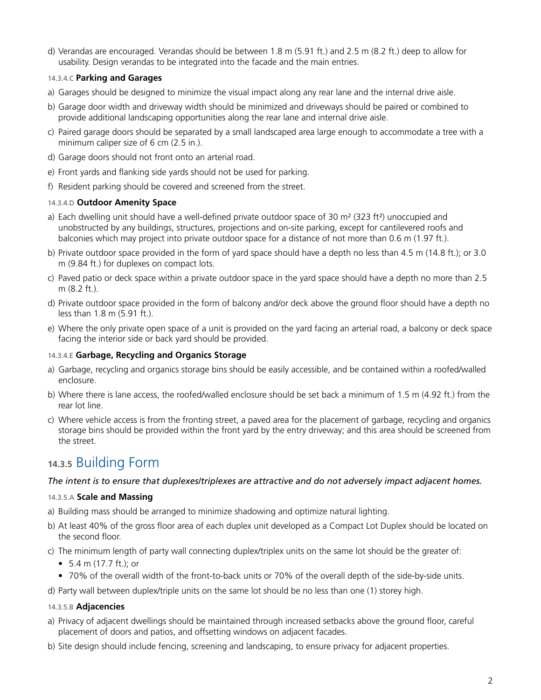d) Verandas are encouraged. Verandas should be between 1.8 m (5.91 ft.) and 2.5 m (8.2 ft.) deep to allow for usability. Design verandas to be integrated into the facade and the main entries.

### 14.3.4.C **Parking and Garages**

- a) Garages should be designed to minimize the visual impact along any rear lane and the internal drive aisle.
- b) Garage door width and driveway width should be minimized and driveways should be paired or combined to provide additional landscaping opportunities along the rear lane and internal drive aisle.
- c) Paired garage doors should be separated by a small landscaped area large enough to accommodate a tree with a minimum caliper size of 6 cm (2.5 in.).
- d) Garage doors should not front onto an arterial road.
- e) Front yards and flanking side yards should not be used for parking.
- f) Resident parking should be covered and screened from the street.

### 14.3.4.D **Outdoor Amenity Space**

- a) Each dwelling unit should have a well-defined private outdoor space of 30  $m<sup>2</sup>$  (323 ft<sup>2</sup>) unoccupied and unobstructed by any buildings, structures, projections and on-site parking, except for cantilevered roofs and balconies which may project into private outdoor space for a distance of not more than 0.6 m (1.97 ft.).
- b) Private outdoor space provided in the form of yard space should have a depth no less than 4.5 m (14.8 ft.); or 3.0 m (9.84 ft.) for duplexes on compact lots.
- c) Paved patio or deck space within a private outdoor space in the yard space should have a depth no more than 2.5 m (8.2 ft.).
- d) Private outdoor space provided in the form of balcony and/or deck above the ground floor should have a depth no less than 1.8 m (5.91 ft.).
- e) Where the only private open space of a unit is provided on the yard facing an arterial road, a balcony or deck space facing the interior side or back yard should be provided.

### 14.3.4.E **Garbage, Recycling and Organics Storage**

- a) Garbage, recycling and organics storage bins should be easily accessible, and be contained within a roofed/walled enclosure.
- b) Where there is lane access, the roofed/walled enclosure should be set back a minimum of 1.5 m (4.92 ft.) from the rear lot line.
- c) Where vehicle access is from the fronting street, a paved area for the placement of garbage, recycling and organics storage bins should be provided within the front yard by the entry driveway; and this area should be screened from the street.

## **14.3.5** Building Form

### *The intent is to ensure that duplexes/triplexes are attractive and do not adversely impact adjacent homes.*

### 14.3.5.A **Scale and Massing**

- a) Building mass should be arranged to minimize shadowing and optimize natural lighting.
- b) At least 40% of the gross floor area of each duplex unit developed as a Compact Lot Duplex should be located on the second floor.
- c) The minimum length of party wall connecting duplex/triplex units on the same lot should be the greater of:
	- 5.4 m (17.7 ft.); or
	- 70% of the overall width of the front-to-back units or 70% of the overall depth of the side-by-side units.
- d) Party wall between duplex/triple units on the same lot should be no less than one (1) storey high.

### 14.3.5.B **Adjacencies**

- a) Privacy of adjacent dwellings should be maintained through increased setbacks above the ground floor, careful placement of doors and patios, and offsetting windows on adjacent facades.
- b) Site design should include fencing, screening and landscaping, to ensure privacy for adjacent properties.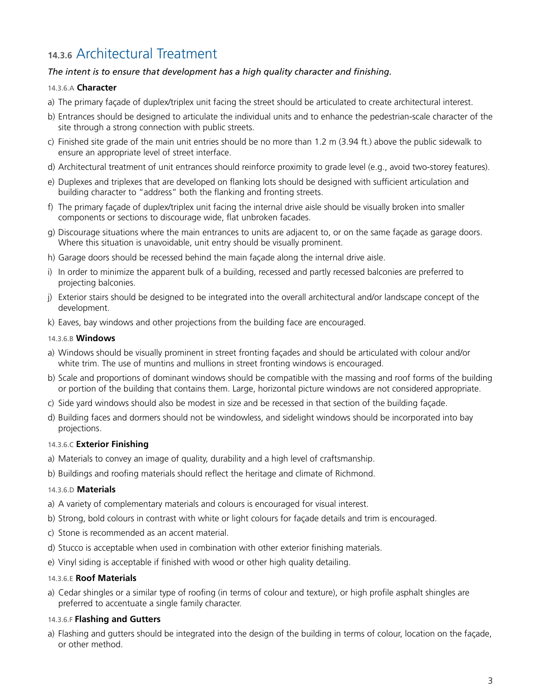# **14.3.6** Architectural Treatment

### The intent is to ensure that development has a high quality character and finishing.

### 14.3.6.A **Character**

- a) The primary façade of duplex/triplex unit facing the street should be articulated to create architectural interest.
- b) Entrances should be designed to articulate the individual units and to enhance the pedestrian-scale character of the site through a strong connection with public streets.
- c) Finished site grade of the main unit entries should be no more than 1.2 m (3.94 ft.) above the public sidewalk to ensure an appropriate level of street interface.
- d) Architectural treatment of unit entrances should reinforce proximity to grade level (e.g., avoid two-storey features).
- e) Duplexes and triplexes that are developed on flanking lots should be designed with sufficient articulation and building character to "address" both the flanking and fronting streets.
- f) The primary façade of duplex/triplex unit facing the internal drive aisle should be visually broken into smaller components or sections to discourage wide, flat unbroken facades.
- g) Discourage situations where the main entrances to units are adjacent to, or on the same façade as garage doors. Where this situation is unavoidable, unit entry should be visually prominent.
- h) Garage doors should be recessed behind the main façade along the internal drive aisle.
- i) In order to minimize the apparent bulk of a building, recessed and partly recessed balconies are preferred to projecting balconies.
- j) Exterior stairs should be designed to be integrated into the overall architectural and/or landscape concept of the development.
- k) Eaves, bay windows and other projections from the building face are encouraged.

### 14.3.6.B **Windows**

- a) Windows should be visually prominent in street fronting façades and should be articulated with colour and/or white trim. The use of muntins and mullions in street fronting windows is encouraged.
- b) Scale and proportions of dominant windows should be compatible with the massing and roof forms of the building or portion of the building that contains them. Large, horizontal picture windows are not considered appropriate.
- c) Side yard windows should also be modest in size and be recessed in that section of the building façade.
- d) Building faces and dormers should not be windowless, and sidelight windows should be incorporated into bay projections.

### 14.3.6.C **Exterior Finishing**

- a) Materials to convey an image of quality, durability and a high level of craftsmanship.
- b) Buildings and roofing materials should reflect the heritage and climate of Richmond.

### 14.3.6.D **Materials**

- a) A variety of complementary materials and colours is encouraged for visual interest.
- b) Strong, bold colours in contrast with white or light colours for façade details and trim is encouraged.
- c) Stone is recommended as an accent material.
- d) Stucco is acceptable when used in combination with other exterior finishing materials.
- e) Vinyl siding is acceptable if finished with wood or other high quality detailing.

### 14.3.6.E **Roof Materials**

a) Cedar shingles or a similar type of roofing (in terms of colour and texture), or high profile asphalt shingles are preferred to accentuate a single family character.

### 14.3.6.F **Flashing and Gutters**

a) Flashing and gutters should be integrated into the design of the building in terms of colour, location on the façade, or other method.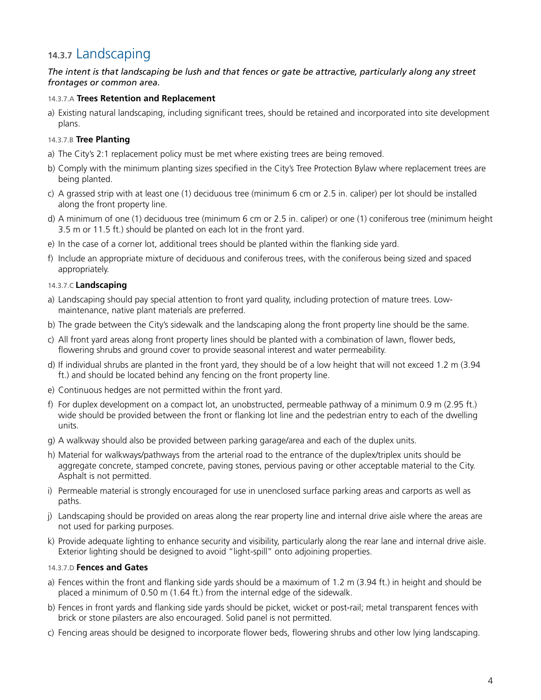# **14.3.7** Landscaping

### *The intent is that landscaping be lush and that fences or gate be attractive, particularly along any street frontages or common area.*

### 14.3.7.A **Trees Retention and Replacement**

a) Existing natural landscaping, including significant trees, should be retained and incorporated into site development plans.

### 14.3.7.B **Tree Planting**

- a) The City's 2:1 replacement policy must be met where existing trees are being removed.
- b) Comply with the minimum planting sizes specified in the City's Tree Protection Bylaw where replacement trees are being planted.
- c) A grassed strip with at least one (1) deciduous tree (minimum 6 cm or 2.5 in. caliper) per lot should be installed along the front property line.
- d) A minimum of one (1) deciduous tree (minimum 6 cm or 2.5 in. caliper) or one (1) coniferous tree (minimum height 3.5 m or 11.5 ft.) should be planted on each lot in the front yard.
- e) In the case of a corner lot, additional trees should be planted within the flanking side yard.
- f) Include an appropriate mixture of deciduous and coniferous trees, with the coniferous being sized and spaced appropriately.

### 14.3.7.C **Landscaping**

- a) Landscaping should pay special attention to front yard quality, including protection of mature trees. Lowmaintenance, native plant materials are preferred.
- b) The grade between the City's sidewalk and the landscaping along the front property line should be the same.
- c) All front yard areas along front property lines should be planted with a combination of lawn, flower beds, flowering shrubs and ground cover to provide seasonal interest and water permeability.
- d) If individual shrubs are planted in the front yard, they should be of a low height that will not exceed 1.2 m (3.94 ft.) and should be located behind any fencing on the front property line.
- e) Continuous hedges are not permitted within the front yard.
- f) For duplex development on a compact lot, an unobstructed, permeable pathway of a minimum 0.9 m (2.95 ft.) wide should be provided between the front or flanking lot line and the pedestrian entry to each of the dwelling units.
- g) A walkway should also be provided between parking garage/area and each of the duplex units.
- h) Material for walkways/pathways from the arterial road to the entrance of the duplex/triplex units should be aggregate concrete, stamped concrete, paving stones, pervious paving or other acceptable material to the City. Asphalt is not permitted.
- i) Permeable material is strongly encouraged for use in unenclosed surface parking areas and carports as well as paths.
- j) Landscaping should be provided on areas along the rear property line and internal drive aisle where the areas are not used for parking purposes.
- k) Provide adequate lighting to enhance security and visibility, particularly along the rear lane and internal drive aisle. Exterior lighting should be designed to avoid "light-spill" onto adjoining properties.

### 14.3.7.D **Fences and Gates**

- a) Fences within the front and flanking side yards should be a maximum of  $1.2$  m (3.94 ft.) in height and should be placed a minimum of 0.50 m (1.64 ft.) from the internal edge of the sidewalk.
- b) Fences in front yards and flanking side yards should be picket, wicket or post-rail; metal transparent fences with brick or stone pilasters are also encouraged. Solid panel is not permitted.
- c) Fencing areas should be designed to incorporate flower beds, flowering shrubs and other low lying landscaping.